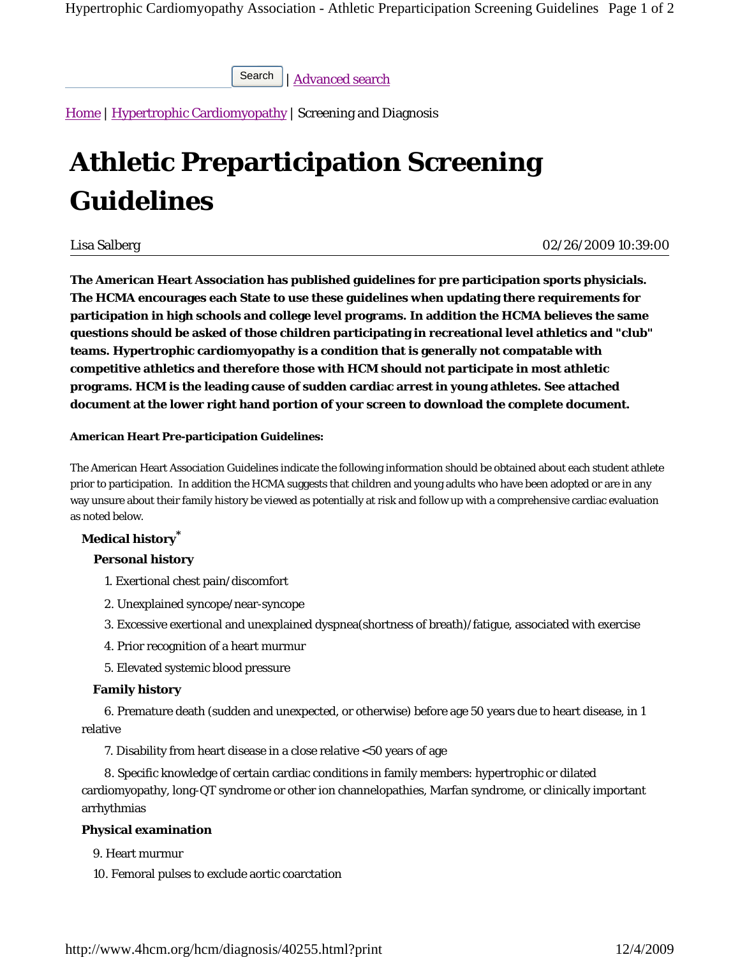| Advanced search Search

Home | Hypertrophic Cardiomyopathy | Screening and Diagnosis

# **Athletic Preparticipation Screening Guidelines**

Lisa Salberg

02/26/2009 10:39:00

**The American Heart Association has published guidelines for pre participation sports physicials. The HCMA encourages each State to use these guidelines when updating there requirements for participation in high schools and college level programs. In addition the HCMA believes the same questions should be asked of those children participating in recreational level athletics and "club" teams. Hypertrophic cardiomyopathy is a condition that is generally not compatable with competitive athletics and therefore those with HCM should not participate in most athletic programs. HCM is the leading cause of sudden cardiac arrest in young athletes. See attached document at the lower right hand portion of your screen to download the complete document.** 

#### **American Heart Pre-participation Guidelines:**

The American Heart Association Guidelines indicate the following information should be obtained about each student athlete prior to participation. In addition the HCMA suggests that children and young adults who have been adopted or are in any way unsure about their family history be viewed as potentially at risk and follow up with a comprehensive cardiac evaluation as noted below.

## **Medical history\***

## **Personal history**

- 1. Exertional chest pain/discomfort
- 2. Unexplained syncope/near-syncope
- 3. Excessive exertional and unexplained dyspnea(shortness of breath)/fatigue, associated with exercise
- 4. Prior recognition of a heart murmur
- 5. Elevated systemic blood pressure

#### **Family history**

 6. Premature death (sudden and unexpected, or otherwise) before age 50 years due to heart disease, in 1 relative

7. Disability from heart disease in a close relative <50 years of age

 8. Specific knowledge of certain cardiac conditions in family members: hypertrophic or dilated cardiomyopathy, long-QT syndrome or other ion channelopathies, Marfan syndrome, or clinically important arrhythmias

## **Physical examination**

- 9. Heart murmur
- 10. Femoral pulses to exclude aortic coarctation